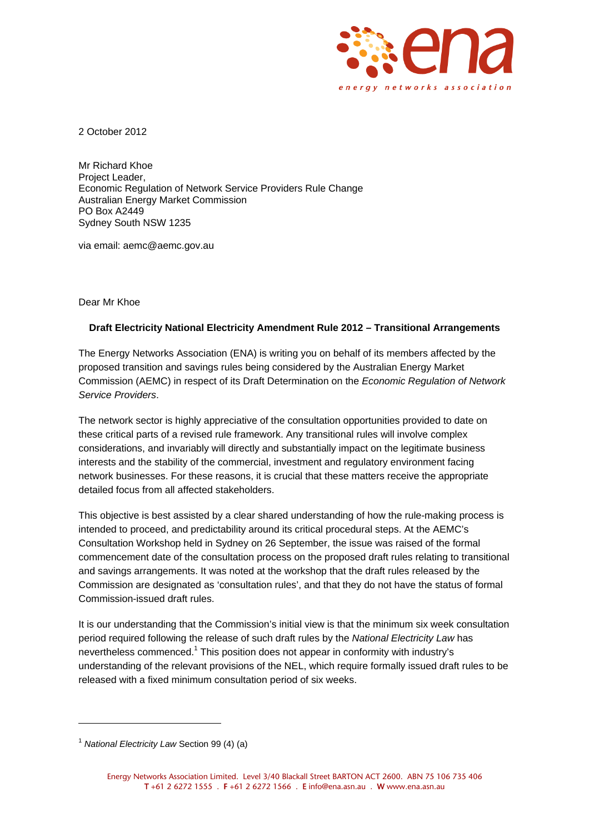

2 October 2012

Mr Richard Khoe Project Leader, Economic Regulation of Network Service Providers Rule Change Australian Energy Market Commission PO Box A2449 Sydney South NSW 1235

via email: aemc@aemc.gov.au

Dear Mr Khoe

## **Draft Electricity National Electricity Amendment Rule 2012 – Transitional Arrangements**

The Energy Networks Association (ENA) is writing you on behalf of its members affected by the proposed transition and savings rules being considered by the Australian Energy Market Commission (AEMC) in respect of its Draft Determination on the *Economic Regulation of Network Service Providers*.

The network sector is highly appreciative of the consultation opportunities provided to date on these critical parts of a revised rule framework. Any transitional rules will involve complex considerations, and invariably will directly and substantially impact on the legitimate business interests and the stability of the commercial, investment and regulatory environment facing network businesses. For these reasons, it is crucial that these matters receive the appropriate detailed focus from all affected stakeholders.

This objective is best assisted by a clear shared understanding of how the rule-making process is intended to proceed, and predictability around its critical procedural steps. At the AEMC's Consultation Workshop held in Sydney on 26 September, the issue was raised of the formal commencement date of the consultation process on the proposed draft rules relating to transitional and savings arrangements. It was noted at the workshop that the draft rules released by the Commission are designated as 'consultation rules', and that they do not have the status of formal Commission-issued draft rules.

It is our understanding that the Commission's initial view is that the minimum six week consultation period required following the release of such draft rules by the *National Electricity Law* has nevertheless commenced.<sup>1</sup> This position does not appear in conformity with industry's understanding of the relevant provisions of the NEL, which require formally issued draft rules to be released with a fixed minimum consultation period of six weeks.

 $\overline{a}$ 

<sup>1</sup> *National Electricity Law* Section 99 (4) (a)